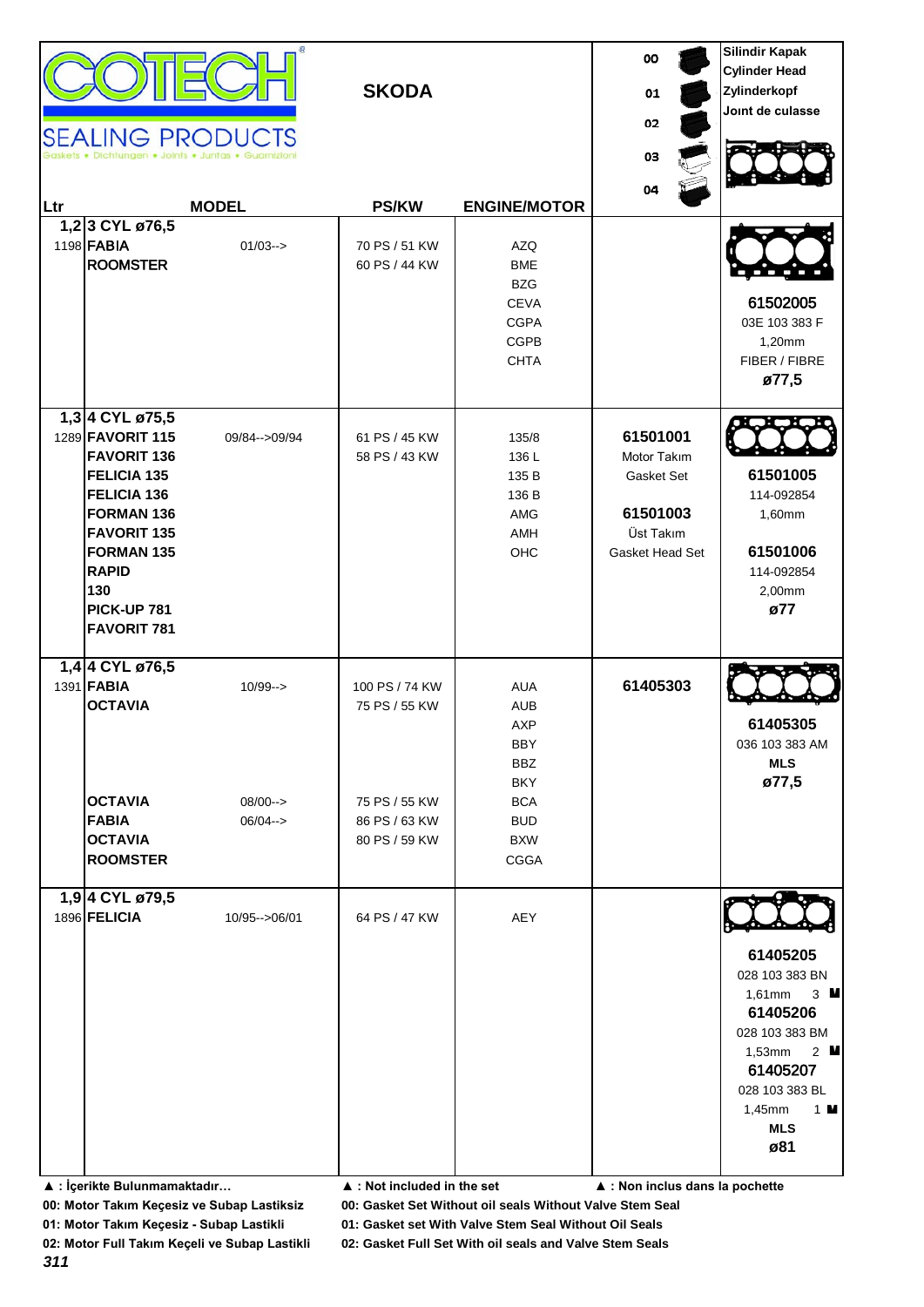| Ltr | 1,23 CYL ø76,5<br>1198 <b>FABIA</b><br><b>ROOMSTER</b>                                                                                                                                                              | <b>SEALING PRODUCTS</b><br>Dichtungen . Joints . Juntas . Guarnizio<br><b>MODEL</b><br>$01/03 \rightarrow$ | <b>SKODA</b><br><b>PS/KW</b><br>70 PS / 51 KW<br>60 PS / 44 KW                     | <b>ENGINE/MOTOR</b><br><b>AZQ</b><br><b>BME</b><br><b>BZG</b><br><b>CEVA</b><br><b>CGPA</b><br><b>CGPB</b><br><b>CHTA</b>   | 00<br>01<br>02<br>03<br>04                                                        | <b>Silindir Kapak</b><br><b>Cylinder Head</b><br>Zylinderkopf<br>Joint de culasse<br>61502005<br>03E 103 383 F<br>1,20mm<br>FIBER / FIBRE<br>ø77,5                                                             |
|-----|---------------------------------------------------------------------------------------------------------------------------------------------------------------------------------------------------------------------|------------------------------------------------------------------------------------------------------------|------------------------------------------------------------------------------------|-----------------------------------------------------------------------------------------------------------------------------|-----------------------------------------------------------------------------------|----------------------------------------------------------------------------------------------------------------------------------------------------------------------------------------------------------------|
|     | 1,3 4 CYL ø75,5<br>1289 FAVORIT 115<br><b>FAVORIT 136</b><br>FELICIA 135<br>FELICIA 136<br>FORMAN 136<br><b>FAVORIT 135</b><br><b>FORMAN 135</b><br><b>RAPID</b><br>130<br><b>PICK-UP 781</b><br><b>FAVORIT 781</b> | 09/84 -- > 09/94                                                                                           | 61 PS / 45 KW<br>58 PS / 43 KW                                                     | 135/8<br>136 L<br>135 B<br>136 B<br>AMG<br>AMH<br>OHC                                                                       | 61501001<br>Motor Takım<br>Gasket Set<br>61501003<br>Üst Takım<br>Gasket Head Set | 61501005<br>114-092854<br>1,60mm<br>61501006<br>114-092854<br>2,00mm<br>ø77                                                                                                                                    |
|     | 1,4 4 CYL ø76,5<br>1391 <b>FABIA</b><br><b>OCTAVIA</b><br><b>OCTAVIA</b><br><b>FABIA</b><br><b>OCTAVIA</b><br><b>ROOMSTER</b>                                                                                       | $10/99 - >$<br>$08/00--$<br>$06/04-->$                                                                     | 100 PS / 74 KW<br>75 PS / 55 KW<br>75 PS / 55 KW<br>86 PS / 63 KW<br>80 PS / 59 KW | <b>AUA</b><br><b>AUB</b><br>AXP<br>BBY<br><b>BBZ</b><br><b>BKY</b><br><b>BCA</b><br><b>BUD</b><br><b>BXW</b><br><b>CGGA</b> | 61405303                                                                          | 61405305<br>036 103 383 AM<br><b>MLS</b><br>ø77,5                                                                                                                                                              |
|     | 1,9 4 CYL ø79,5<br>1896 FELICIA                                                                                                                                                                                     | 10/95 -- > 06/01                                                                                           | 64 PS / 47 KW                                                                      | AEY                                                                                                                         |                                                                                   | 61405205<br>028 103 383 BN<br>$1,61$ mm<br>$3 \blacksquare$<br>61405206<br>028 103 383 BM<br>$1,53$ mm<br>2 $\blacksquare$<br>61405207<br>028 103 383 BL<br>$1 \blacksquare$<br>$1,45$ mm<br><b>MLS</b><br>ø81 |

**00: Motor Takım Keçesiz ve Subap Lastiksiz 00: Gasket Set Without oil seals Without Valve Stem Seal**

**01: Motor Takım Keçesiz - Subap Lastikli 01: Gasket set With Valve Stem Seal Without Oil Seals**

**02: Motor Full Takım Keçeli ve Subap Lastikli 02: Gasket Full Set With oil seals and Valve Stem Seals**

**<sup>▲ :</sup> İçerikte Bulunmamaktadır… ▲ : Not included in the set ▲ : Non inclus dans la pochette**